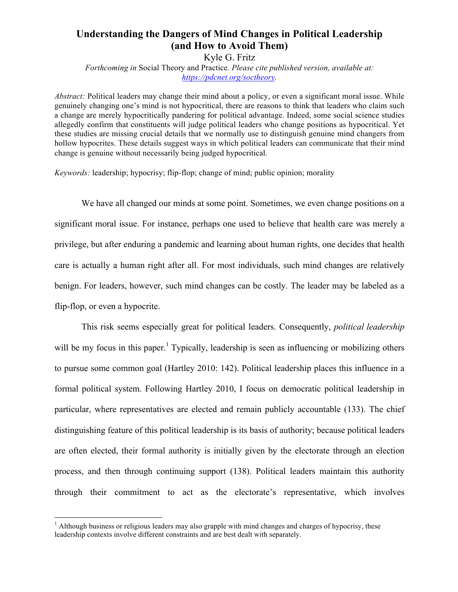# **Understanding the Dangers of Mind Changes in Political Leadership (and How to Avoid Them)**

Kyle G. Fritz *Forthcoming in* Social Theory and Practice*. Please cite published version, available at: https://pdcnet.org/soctheory.*

*Abstract:* Political leaders may change their mind about a policy, or even a significant moral issue. While genuinely changing one's mind is not hypocritical, there are reasons to think that leaders who claim such a change are merely hypocritically pandering for political advantage. Indeed, some social science studies allegedly confirm that constituents will judge political leaders who change positions as hypocritical. Yet these studies are missing crucial details that we normally use to distinguish genuine mind changers from hollow hypocrites. These details suggest ways in which political leaders can communicate that their mind change is genuine without necessarily being judged hypocritical.

*Keywords:* leadership; hypocrisy; flip-flop; change of mind; public opinion; morality

We have all changed our minds at some point. Sometimes, we even change positions on a significant moral issue. For instance, perhaps one used to believe that health care was merely a privilege, but after enduring a pandemic and learning about human rights, one decides that health care is actually a human right after all. For most individuals, such mind changes are relatively benign. For leaders, however, such mind changes can be costly. The leader may be labeled as a flip-flop, or even a hypocrite.

This risk seems especially great for political leaders. Consequently, *political leadership* will be my focus in this paper.<sup>1</sup> Typically, leadership is seen as influencing or mobilizing others to pursue some common goal (Hartley 2010: 142). Political leadership places this influence in a formal political system. Following Hartley 2010, I focus on democratic political leadership in particular, where representatives are elected and remain publicly accountable (133). The chief distinguishing feature of this political leadership is its basis of authority; because political leaders are often elected, their formal authority is initially given by the electorate through an election process, and then through continuing support (138). Political leaders maintain this authority through their commitment to act as the electorate's representative, which involves

 $<sup>1</sup>$  Although business or religious leaders may also grapple with mind changes and charges of hypocrisy, these</sup> leadership contexts involve different constraints and are best dealt with separately.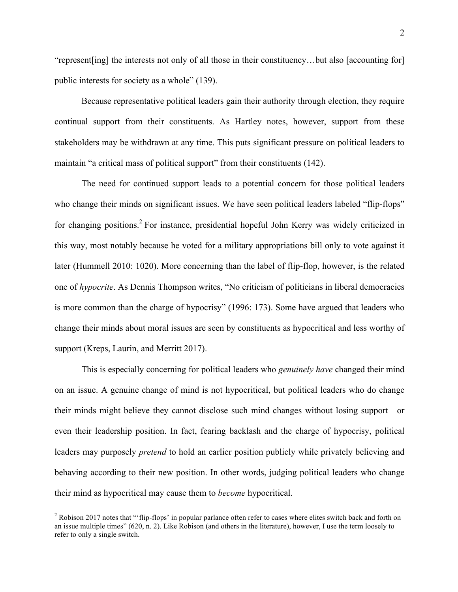"represent[ing] the interests not only of all those in their constituency…but also [accounting for] public interests for society as a whole" (139).

Because representative political leaders gain their authority through election, they require continual support from their constituents. As Hartley notes, however, support from these stakeholders may be withdrawn at any time. This puts significant pressure on political leaders to maintain "a critical mass of political support" from their constituents (142).

The need for continued support leads to a potential concern for those political leaders who change their minds on significant issues. We have seen political leaders labeled "flip-flops" for changing positions.<sup>2</sup> For instance, presidential hopeful John Kerry was widely criticized in this way, most notably because he voted for a military appropriations bill only to vote against it later (Hummell 2010: 1020). More concerning than the label of flip-flop, however, is the related one of *hypocrite*. As Dennis Thompson writes, "No criticism of politicians in liberal democracies is more common than the charge of hypocrisy" (1996: 173). Some have argued that leaders who change their minds about moral issues are seen by constituents as hypocritical and less worthy of support (Kreps, Laurin, and Merritt 2017).

This is especially concerning for political leaders who *genuinely have* changed their mind on an issue. A genuine change of mind is not hypocritical, but political leaders who do change their minds might believe they cannot disclose such mind changes without losing support—or even their leadership position. In fact, fearing backlash and the charge of hypocrisy, political leaders may purposely *pretend* to hold an earlier position publicly while privately believing and behaving according to their new position. In other words, judging political leaders who change their mind as hypocritical may cause them to *become* hypocritical.

<sup>&</sup>lt;sup>2</sup> Robison 2017 notes that "'flip-flops' in popular parlance often refer to cases where elites switch back and forth on an issue multiple times" (620, n. 2). Like Robison (and others in the literature), however, I use the term loosely to refer to only a single switch.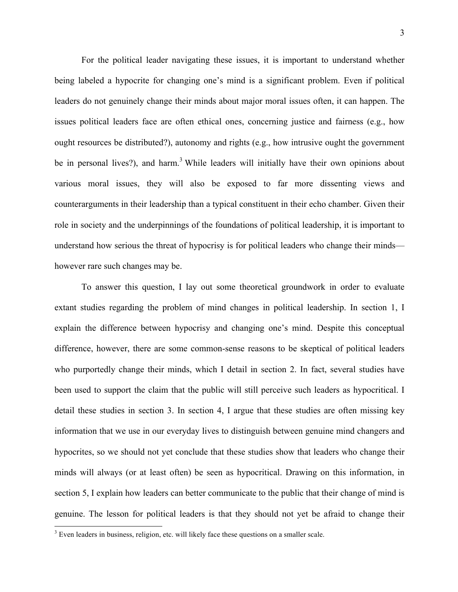For the political leader navigating these issues, it is important to understand whether being labeled a hypocrite for changing one's mind is a significant problem. Even if political leaders do not genuinely change their minds about major moral issues often, it can happen. The issues political leaders face are often ethical ones, concerning justice and fairness (e.g., how ought resources be distributed?), autonomy and rights (e.g., how intrusive ought the government be in personal lives?), and harm.<sup>3</sup> While leaders will initially have their own opinions about various moral issues, they will also be exposed to far more dissenting views and counterarguments in their leadership than a typical constituent in their echo chamber. Given their role in society and the underpinnings of the foundations of political leadership, it is important to understand how serious the threat of hypocrisy is for political leaders who change their minds however rare such changes may be.

To answer this question, I lay out some theoretical groundwork in order to evaluate extant studies regarding the problem of mind changes in political leadership. In section 1, I explain the difference between hypocrisy and changing one's mind. Despite this conceptual difference, however, there are some common-sense reasons to be skeptical of political leaders who purportedly change their minds, which I detail in section 2. In fact, several studies have been used to support the claim that the public will still perceive such leaders as hypocritical. I detail these studies in section 3. In section 4, I argue that these studies are often missing key information that we use in our everyday lives to distinguish between genuine mind changers and hypocrites, so we should not yet conclude that these studies show that leaders who change their minds will always (or at least often) be seen as hypocritical. Drawing on this information, in section 5, I explain how leaders can better communicate to the public that their change of mind is genuine. The lesson for political leaders is that they should not yet be afraid to change their

<sup>&</sup>lt;sup>3</sup> Even leaders in business, religion, etc. will likely face these questions on a smaller scale.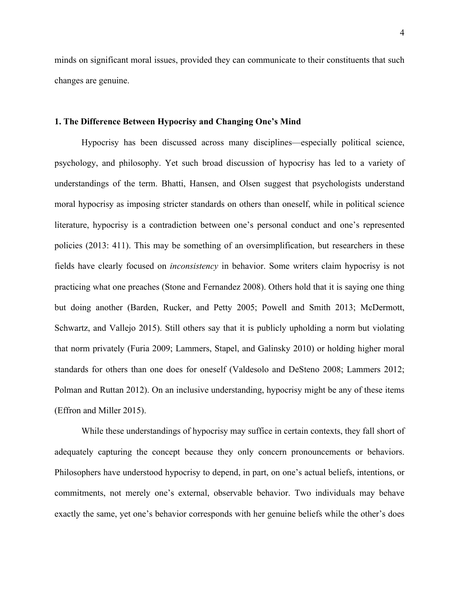minds on significant moral issues, provided they can communicate to their constituents that such changes are genuine.

#### **1. The Difference Between Hypocrisy and Changing One's Mind**

Hypocrisy has been discussed across many disciplines—especially political science, psychology, and philosophy. Yet such broad discussion of hypocrisy has led to a variety of understandings of the term. Bhatti, Hansen, and Olsen suggest that psychologists understand moral hypocrisy as imposing stricter standards on others than oneself, while in political science literature, hypocrisy is a contradiction between one's personal conduct and one's represented policies (2013: 411). This may be something of an oversimplification, but researchers in these fields have clearly focused on *inconsistency* in behavior. Some writers claim hypocrisy is not practicing what one preaches (Stone and Fernandez 2008). Others hold that it is saying one thing but doing another (Barden, Rucker, and Petty 2005; Powell and Smith 2013; McDermott, Schwartz, and Vallejo 2015). Still others say that it is publicly upholding a norm but violating that norm privately (Furia 2009; Lammers, Stapel, and Galinsky 2010) or holding higher moral standards for others than one does for oneself (Valdesolo and DeSteno 2008; Lammers 2012; Polman and Ruttan 2012). On an inclusive understanding, hypocrisy might be any of these items (Effron and Miller 2015).

While these understandings of hypocrisy may suffice in certain contexts, they fall short of adequately capturing the concept because they only concern pronouncements or behaviors. Philosophers have understood hypocrisy to depend, in part, on one's actual beliefs, intentions, or commitments, not merely one's external, observable behavior. Two individuals may behave exactly the same, yet one's behavior corresponds with her genuine beliefs while the other's does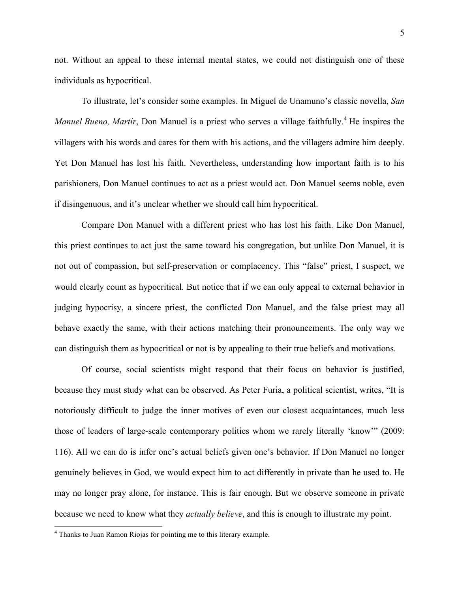not. Without an appeal to these internal mental states, we could not distinguish one of these individuals as hypocritical.

To illustrate, let's consider some examples. In Miguel de Unamuno's classic novella, *San Manuel Bueno, Martír*, Don Manuel is a priest who serves a village faithfully.<sup>4</sup> He inspires the villagers with his words and cares for them with his actions, and the villagers admire him deeply. Yet Don Manuel has lost his faith. Nevertheless, understanding how important faith is to his parishioners, Don Manuel continues to act as a priest would act. Don Manuel seems noble, even if disingenuous, and it's unclear whether we should call him hypocritical.

Compare Don Manuel with a different priest who has lost his faith. Like Don Manuel, this priest continues to act just the same toward his congregation, but unlike Don Manuel, it is not out of compassion, but self-preservation or complacency. This "false" priest, I suspect, we would clearly count as hypocritical. But notice that if we can only appeal to external behavior in judging hypocrisy, a sincere priest, the conflicted Don Manuel, and the false priest may all behave exactly the same, with their actions matching their pronouncements. The only way we can distinguish them as hypocritical or not is by appealing to their true beliefs and motivations.

Of course, social scientists might respond that their focus on behavior is justified, because they must study what can be observed. As Peter Furia, a political scientist, writes, "It is notoriously difficult to judge the inner motives of even our closest acquaintances, much less those of leaders of large-scale contemporary polities whom we rarely literally 'know'" (2009: 116). All we can do is infer one's actual beliefs given one's behavior. If Don Manuel no longer genuinely believes in God, we would expect him to act differently in private than he used to. He may no longer pray alone, for instance. This is fair enough. But we observe someone in private because we need to know what they *actually believe*, and this is enough to illustrate my point.

 <sup>4</sup> Thanks to Juan Ramon Riojas for pointing me to this literary example.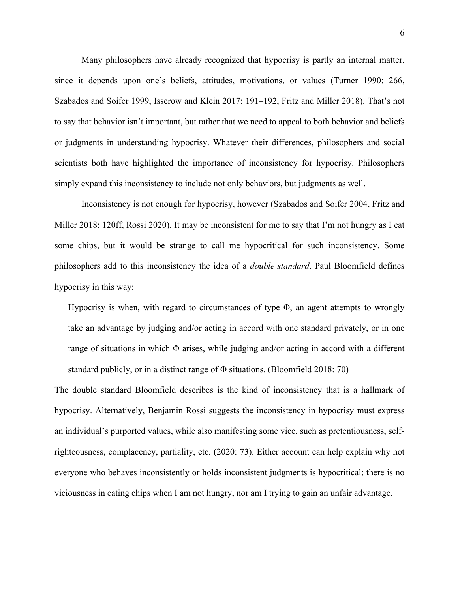Many philosophers have already recognized that hypocrisy is partly an internal matter, since it depends upon one's beliefs, attitudes, motivations, or values (Turner 1990: 266, Szabados and Soifer 1999, Isserow and Klein 2017: 191–192, Fritz and Miller 2018). That's not to say that behavior isn't important, but rather that we need to appeal to both behavior and beliefs or judgments in understanding hypocrisy. Whatever their differences, philosophers and social scientists both have highlighted the importance of inconsistency for hypocrisy. Philosophers simply expand this inconsistency to include not only behaviors, but judgments as well.

Inconsistency is not enough for hypocrisy, however (Szabados and Soifer 2004, Fritz and Miller 2018: 120ff, Rossi 2020). It may be inconsistent for me to say that I'm not hungry as I eat some chips, but it would be strange to call me hypocritical for such inconsistency. Some philosophers add to this inconsistency the idea of a *double standard*. Paul Bloomfield defines hypocrisy in this way:

Hypocrisy is when, with regard to circumstances of type  $\Phi$ , an agent attempts to wrongly take an advantage by judging and/or acting in accord with one standard privately, or in one range of situations in which Φ arises, while judging and/or acting in accord with a different standard publicly, or in a distinct range of Φ situations. (Bloomfield 2018: 70)

The double standard Bloomfield describes is the kind of inconsistency that is a hallmark of hypocrisy. Alternatively, Benjamin Rossi suggests the inconsistency in hypocrisy must express an individual's purported values, while also manifesting some vice, such as pretentiousness, selfrighteousness, complacency, partiality, etc. (2020: 73). Either account can help explain why not everyone who behaves inconsistently or holds inconsistent judgments is hypocritical; there is no viciousness in eating chips when I am not hungry, nor am I trying to gain an unfair advantage.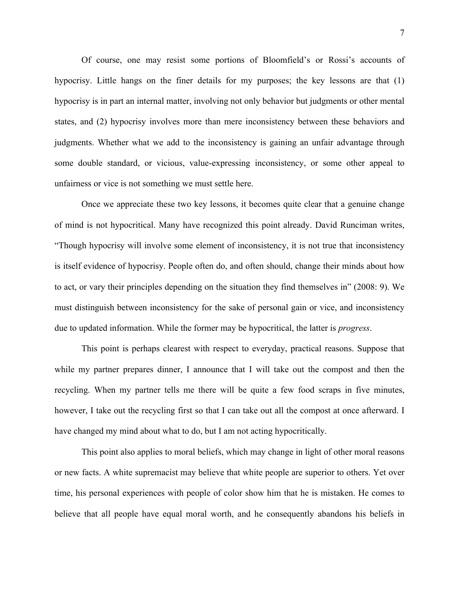Of course, one may resist some portions of Bloomfield's or Rossi's accounts of hypocrisy. Little hangs on the finer details for my purposes; the key lessons are that (1) hypocrisy is in part an internal matter, involving not only behavior but judgments or other mental states, and (2) hypocrisy involves more than mere inconsistency between these behaviors and judgments. Whether what we add to the inconsistency is gaining an unfair advantage through some double standard, or vicious, value-expressing inconsistency, or some other appeal to unfairness or vice is not something we must settle here.

Once we appreciate these two key lessons, it becomes quite clear that a genuine change of mind is not hypocritical. Many have recognized this point already. David Runciman writes, "Though hypocrisy will involve some element of inconsistency, it is not true that inconsistency is itself evidence of hypocrisy. People often do, and often should, change their minds about how to act, or vary their principles depending on the situation they find themselves in" (2008: 9). We must distinguish between inconsistency for the sake of personal gain or vice, and inconsistency due to updated information. While the former may be hypocritical, the latter is *progress*.

This point is perhaps clearest with respect to everyday, practical reasons. Suppose that while my partner prepares dinner, I announce that I will take out the compost and then the recycling. When my partner tells me there will be quite a few food scraps in five minutes, however, I take out the recycling first so that I can take out all the compost at once afterward. I have changed my mind about what to do, but I am not acting hypocritically.

This point also applies to moral beliefs, which may change in light of other moral reasons or new facts. A white supremacist may believe that white people are superior to others. Yet over time, his personal experiences with people of color show him that he is mistaken. He comes to believe that all people have equal moral worth, and he consequently abandons his beliefs in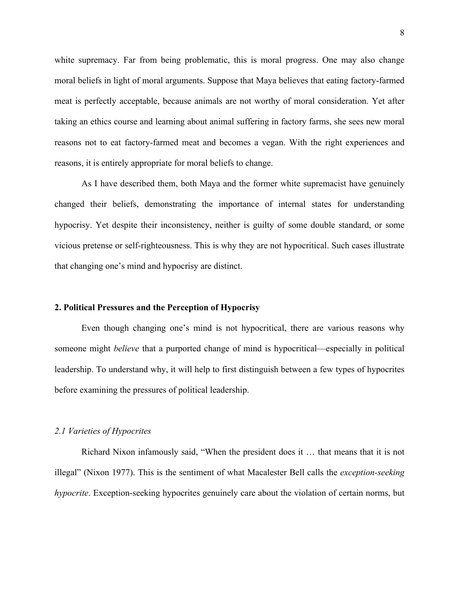white supremacy. Far from being problematic, this is moral progress. One may also change moral beliefs in light of moral arguments. Suppose that Maya believes that eating factory-farmed meat is perfectly acceptable, because animals are not worthy of moral consideration. Yet after taking an ethics course and learning about animal suffering in factory farms, she sees new moral reasons not to eat factory-farmed meat and becomes a vegan. With the right experiences and reasons, it is entirely appropriate for moral beliefs to change.

As I have described them, both Maya and the former white supremacist have genuinely changed their beliefs, demonstrating the importance of internal states for understanding hypocrisy. Yet despite their inconsistency, neither is guilty of some double standard, or some vicious pretense or self-righteousness. This is why they are not hypocritical. Such cases illustrate that changing one's mind and hypocrisy are distinct.

#### **2. Political Pressures and the Perception of Hypocrisy**

Even though changing one's mind is not hypocritical, there are various reasons why someone might *believe* that a purported change of mind is hypocritical—especially in political leadership. To understand why, it will help to first distinguish between a few types of hypocrites before examining the pressures of political leadership.

### *2.1 Varieties of Hypocrites*

Richard Nixon infamously said, "When the president does it … that means that it is not illegal" (Nixon 1977). This is the sentiment of what Macalester Bell calls the *exception-seeking hypocrite*. Exception-seeking hypocrites genuinely care about the violation of certain norms, but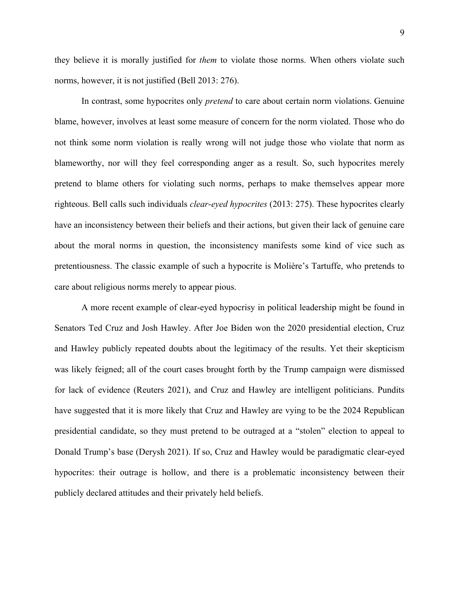they believe it is morally justified for *them* to violate those norms. When others violate such norms, however, it is not justified (Bell 2013: 276).

In contrast, some hypocrites only *pretend* to care about certain norm violations. Genuine blame, however, involves at least some measure of concern for the norm violated. Those who do not think some norm violation is really wrong will not judge those who violate that norm as blameworthy, nor will they feel corresponding anger as a result. So, such hypocrites merely pretend to blame others for violating such norms, perhaps to make themselves appear more righteous. Bell calls such individuals *clear-eyed hypocrites* (2013: 275). These hypocrites clearly have an inconsistency between their beliefs and their actions, but given their lack of genuine care about the moral norms in question, the inconsistency manifests some kind of vice such as pretentiousness. The classic example of such a hypocrite is Molière's Tartuffe, who pretends to care about religious norms merely to appear pious.

A more recent example of clear-eyed hypocrisy in political leadership might be found in Senators Ted Cruz and Josh Hawley. After Joe Biden won the 2020 presidential election, Cruz and Hawley publicly repeated doubts about the legitimacy of the results. Yet their skepticism was likely feigned; all of the court cases brought forth by the Trump campaign were dismissed for lack of evidence (Reuters 2021), and Cruz and Hawley are intelligent politicians. Pundits have suggested that it is more likely that Cruz and Hawley are vying to be the 2024 Republican presidential candidate, so they must pretend to be outraged at a "stolen" election to appeal to Donald Trump's base (Derysh 2021). If so, Cruz and Hawley would be paradigmatic clear-eyed hypocrites: their outrage is hollow, and there is a problematic inconsistency between their publicly declared attitudes and their privately held beliefs.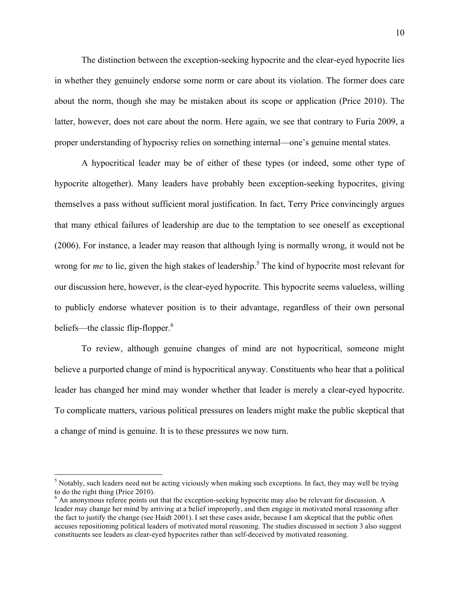The distinction between the exception-seeking hypocrite and the clear-eyed hypocrite lies in whether they genuinely endorse some norm or care about its violation. The former does care about the norm, though she may be mistaken about its scope or application (Price 2010). The latter, however, does not care about the norm. Here again, we see that contrary to Furia 2009, a proper understanding of hypocrisy relies on something internal—one's genuine mental states.

A hypocritical leader may be of either of these types (or indeed, some other type of hypocrite altogether). Many leaders have probably been exception-seeking hypocrites, giving themselves a pass without sufficient moral justification. In fact, Terry Price convincingly argues that many ethical failures of leadership are due to the temptation to see oneself as exceptional (2006). For instance, a leader may reason that although lying is normally wrong, it would not be wrong for *me* to lie, given the high stakes of leadership.<sup>5</sup> The kind of hypocrite most relevant for our discussion here, however, is the clear-eyed hypocrite. This hypocrite seems valueless, willing to publicly endorse whatever position is to their advantage, regardless of their own personal beliefs—the classic flip-flopper.<sup>6</sup>

To review, although genuine changes of mind are not hypocritical, someone might believe a purported change of mind is hypocritical anyway. Constituents who hear that a political leader has changed her mind may wonder whether that leader is merely a clear-eyed hypocrite. To complicate matters, various political pressures on leaders might make the public skeptical that a change of mind is genuine. It is to these pressures we now turn.

<sup>&</sup>lt;sup>5</sup> Notably, such leaders need not be acting viciously when making such exceptions. In fact, they may well be trying to do the right thing (Price 2010).

<sup>&</sup>lt;sup>6</sup> An anonymous referee points out that the exception-seeking hypocrite may also be relevant for discussion. A leader may change her mind by arriving at a belief improperly, and then engage in motivated moral reasoning after the fact to justify the change (see Haidt 2001). I set these cases aside, because I am skeptical that the public often accuses repositioning political leaders of motivated moral reasoning. The studies discussed in section 3 also suggest constituents see leaders as clear-eyed hypocrites rather than self-deceived by motivated reasoning.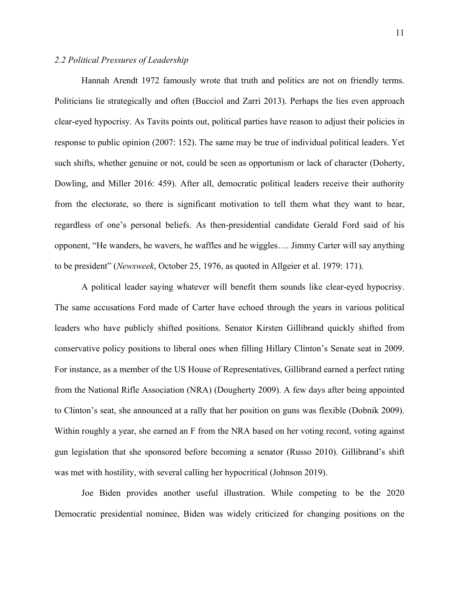#### *2.2 Political Pressures of Leadership*

Hannah Arendt 1972 famously wrote that truth and politics are not on friendly terms. Politicians lie strategically and often (Bucciol and Zarri 2013). Perhaps the lies even approach clear-eyed hypocrisy. As Tavits points out, political parties have reason to adjust their policies in response to public opinion (2007: 152). The same may be true of individual political leaders. Yet such shifts, whether genuine or not, could be seen as opportunism or lack of character (Doherty, Dowling, and Miller 2016: 459). After all, democratic political leaders receive their authority from the electorate, so there is significant motivation to tell them what they want to hear, regardless of one's personal beliefs. As then-presidential candidate Gerald Ford said of his opponent, "He wanders, he wavers, he waffles and he wiggles…. Jimmy Carter will say anything to be president" (*Newsweek*, October 25, 1976, as quoted in Allgeier et al. 1979: 171).

A political leader saying whatever will benefit them sounds like clear-eyed hypocrisy. The same accusations Ford made of Carter have echoed through the years in various political leaders who have publicly shifted positions. Senator Kirsten Gillibrand quickly shifted from conservative policy positions to liberal ones when filling Hillary Clinton's Senate seat in 2009. For instance, as a member of the US House of Representatives, Gillibrand earned a perfect rating from the National Rifle Association (NRA) (Dougherty 2009). A few days after being appointed to Clinton's seat, she announced at a rally that her position on guns was flexible (Dobnik 2009). Within roughly a year, she earned an F from the NRA based on her voting record, voting against gun legislation that she sponsored before becoming a senator (Russo 2010). Gillibrand's shift was met with hostility, with several calling her hypocritical (Johnson 2019).

Joe Biden provides another useful illustration. While competing to be the 2020 Democratic presidential nominee, Biden was widely criticized for changing positions on the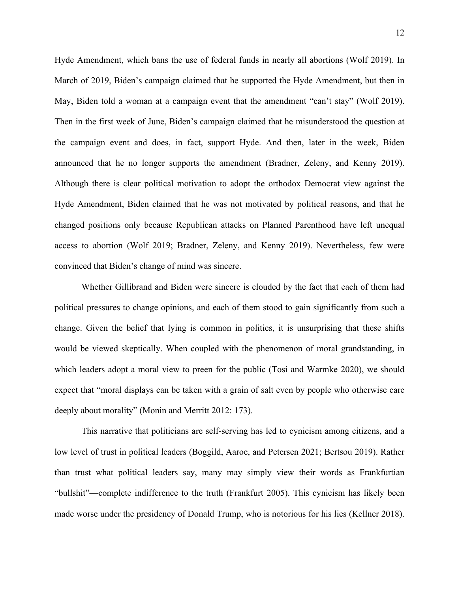Hyde Amendment, which bans the use of federal funds in nearly all abortions (Wolf 2019). In March of 2019, Biden's campaign claimed that he supported the Hyde Amendment, but then in May, Biden told a woman at a campaign event that the amendment "can't stay" (Wolf 2019). Then in the first week of June, Biden's campaign claimed that he misunderstood the question at the campaign event and does, in fact, support Hyde. And then, later in the week, Biden announced that he no longer supports the amendment (Bradner, Zeleny, and Kenny 2019). Although there is clear political motivation to adopt the orthodox Democrat view against the Hyde Amendment, Biden claimed that he was not motivated by political reasons, and that he changed positions only because Republican attacks on Planned Parenthood have left unequal access to abortion (Wolf 2019; Bradner, Zeleny, and Kenny 2019). Nevertheless, few were convinced that Biden's change of mind was sincere.

Whether Gillibrand and Biden were sincere is clouded by the fact that each of them had political pressures to change opinions, and each of them stood to gain significantly from such a change. Given the belief that lying is common in politics, it is unsurprising that these shifts would be viewed skeptically. When coupled with the phenomenon of moral grandstanding, in which leaders adopt a moral view to preen for the public (Tosi and Warmke 2020), we should expect that "moral displays can be taken with a grain of salt even by people who otherwise care deeply about morality" (Monin and Merritt 2012: 173).

This narrative that politicians are self-serving has led to cynicism among citizens, and a low level of trust in political leaders (Boggild, Aaroe, and Petersen 2021; Bertsou 2019). Rather than trust what political leaders say, many may simply view their words as Frankfurtian "bullshit"—complete indifference to the truth (Frankfurt 2005). This cynicism has likely been made worse under the presidency of Donald Trump, who is notorious for his lies (Kellner 2018).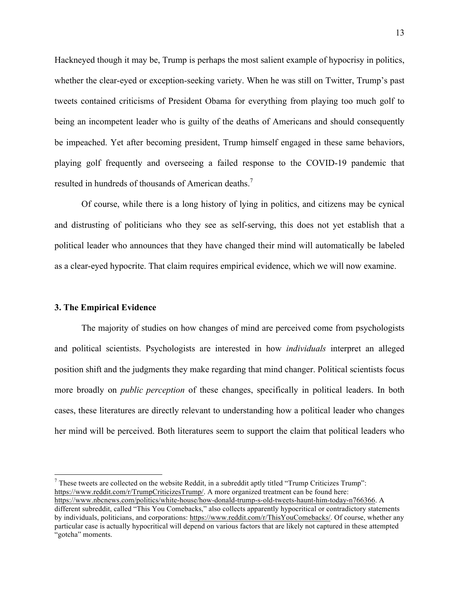Hackneyed though it may be, Trump is perhaps the most salient example of hypocrisy in politics, whether the clear-eyed or exception-seeking variety. When he was still on Twitter, Trump's past tweets contained criticisms of President Obama for everything from playing too much golf to being an incompetent leader who is guilty of the deaths of Americans and should consequently be impeached. Yet after becoming president, Trump himself engaged in these same behaviors, playing golf frequently and overseeing a failed response to the COVID-19 pandemic that resulted in hundreds of thousands of American deaths.<sup>7</sup>

Of course, while there is a long history of lying in politics, and citizens may be cynical and distrusting of politicians who they see as self-serving, this does not yet establish that a political leader who announces that they have changed their mind will automatically be labeled as a clear-eyed hypocrite. That claim requires empirical evidence, which we will now examine.

#### **3. The Empirical Evidence**

The majority of studies on how changes of mind are perceived come from psychologists and political scientists. Psychologists are interested in how *individuals* interpret an alleged position shift and the judgments they make regarding that mind changer. Political scientists focus more broadly on *public perception* of these changes, specifically in political leaders. In both cases, these literatures are directly relevant to understanding how a political leader who changes her mind will be perceived. Both literatures seem to support the claim that political leaders who

 $<sup>7</sup>$  These tweets are collected on the website Reddit, in a subreddit aptly titled "Trump Criticizes Trump":</sup> https://www.reddit.com/r/TrumpCriticizesTrump/. A more organized treatment can be found here:

https://www.nbcnews.com/politics/white-house/how-donald-trump-s-old-tweets-haunt-him-today-n766366. A different subreddit, called "This You Comebacks," also collects apparently hypocritical or contradictory statements by individuals, politicians, and corporations: https://www.reddit.com/r/ThisYouComebacks/. Of course, whether any particular case is actually hypocritical will depend on various factors that are likely not captured in these attempted "gotcha" moments.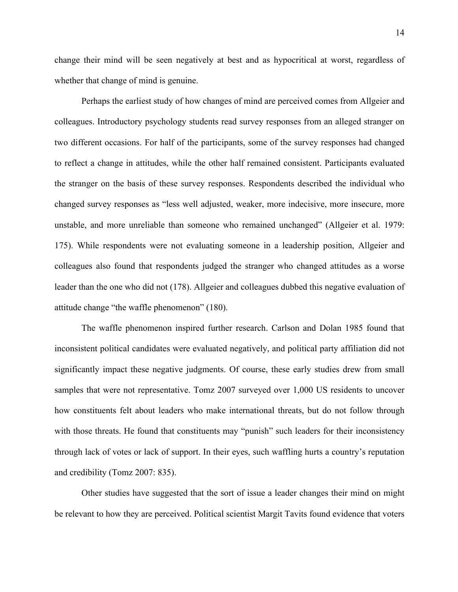change their mind will be seen negatively at best and as hypocritical at worst, regardless of whether that change of mind is genuine.

Perhaps the earliest study of how changes of mind are perceived comes from Allgeier and colleagues. Introductory psychology students read survey responses from an alleged stranger on two different occasions. For half of the participants, some of the survey responses had changed to reflect a change in attitudes, while the other half remained consistent. Participants evaluated the stranger on the basis of these survey responses. Respondents described the individual who changed survey responses as "less well adjusted, weaker, more indecisive, more insecure, more unstable, and more unreliable than someone who remained unchanged" (Allgeier et al. 1979: 175). While respondents were not evaluating someone in a leadership position, Allgeier and colleagues also found that respondents judged the stranger who changed attitudes as a worse leader than the one who did not (178). Allgeier and colleagues dubbed this negative evaluation of attitude change "the waffle phenomenon" (180).

The waffle phenomenon inspired further research. Carlson and Dolan 1985 found that inconsistent political candidates were evaluated negatively, and political party affiliation did not significantly impact these negative judgments. Of course, these early studies drew from small samples that were not representative. Tomz 2007 surveyed over 1,000 US residents to uncover how constituents felt about leaders who make international threats, but do not follow through with those threats. He found that constituents may "punish" such leaders for their inconsistency through lack of votes or lack of support. In their eyes, such waffling hurts a country's reputation and credibility (Tomz 2007: 835).

Other studies have suggested that the sort of issue a leader changes their mind on might be relevant to how they are perceived. Political scientist Margit Tavits found evidence that voters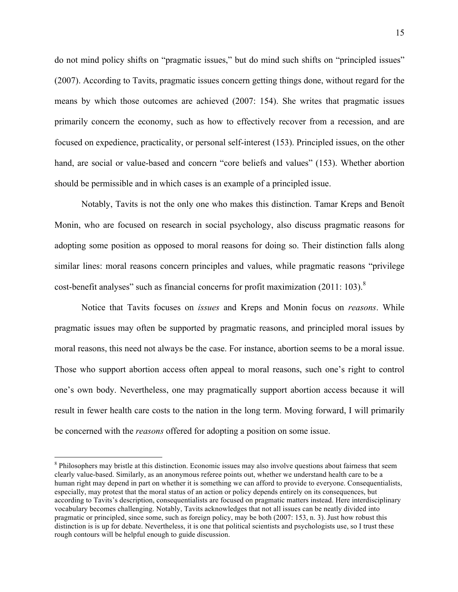do not mind policy shifts on "pragmatic issues," but do mind such shifts on "principled issues" (2007). According to Tavits, pragmatic issues concern getting things done, without regard for the means by which those outcomes are achieved (2007: 154). She writes that pragmatic issues primarily concern the economy, such as how to effectively recover from a recession, and are focused on expedience, practicality, or personal self-interest (153). Principled issues, on the other hand, are social or value-based and concern "core beliefs and values" (153). Whether abortion should be permissible and in which cases is an example of a principled issue.

Notably, Tavits is not the only one who makes this distinction. Tamar Kreps and Benoît Monin, who are focused on research in social psychology, also discuss pragmatic reasons for adopting some position as opposed to moral reasons for doing so. Their distinction falls along similar lines: moral reasons concern principles and values, while pragmatic reasons "privilege cost-benefit analyses" such as financial concerns for profit maximization  $(2011: 103)$ .<sup>8</sup>

Notice that Tavits focuses on *issues* and Kreps and Monin focus on *reasons*. While pragmatic issues may often be supported by pragmatic reasons, and principled moral issues by moral reasons, this need not always be the case. For instance, abortion seems to be a moral issue. Those who support abortion access often appeal to moral reasons, such one's right to control one's own body. Nevertheless, one may pragmatically support abortion access because it will result in fewer health care costs to the nation in the long term. Moving forward, I will primarily be concerned with the *reasons* offered for adopting a position on some issue.

<sup>&</sup>lt;sup>8</sup> Philosophers may bristle at this distinction. Economic issues may also involve questions about fairness that seem clearly value-based. Similarly, as an anonymous referee points out, whether we understand health care to be a human right may depend in part on whether it is something we can afford to provide to everyone. Consequentialists, especially, may protest that the moral status of an action or policy depends entirely on its consequences, but according to Tavits's description, consequentialists are focused on pragmatic matters instead. Here interdisciplinary vocabulary becomes challenging. Notably, Tavits acknowledges that not all issues can be neatly divided into pragmatic or principled, since some, such as foreign policy, may be both (2007: 153, n. 3). Just how robust this distinction is is up for debate. Nevertheless, it is one that political scientists and psychologists use, so I trust these rough contours will be helpful enough to guide discussion.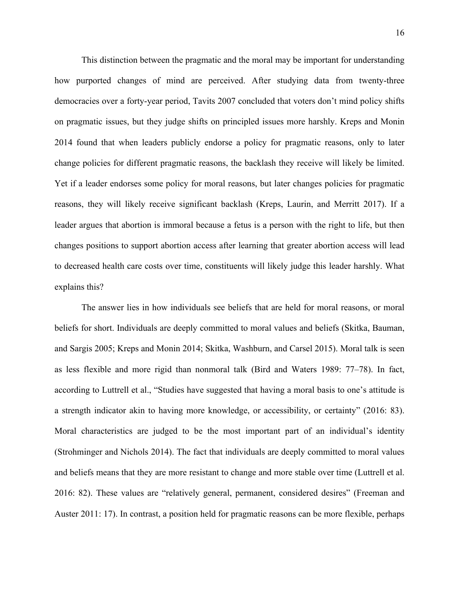This distinction between the pragmatic and the moral may be important for understanding how purported changes of mind are perceived. After studying data from twenty-three democracies over a forty-year period, Tavits 2007 concluded that voters don't mind policy shifts on pragmatic issues, but they judge shifts on principled issues more harshly. Kreps and Monin 2014 found that when leaders publicly endorse a policy for pragmatic reasons, only to later change policies for different pragmatic reasons, the backlash they receive will likely be limited. Yet if a leader endorses some policy for moral reasons, but later changes policies for pragmatic reasons, they will likely receive significant backlash (Kreps, Laurin, and Merritt 2017). If a leader argues that abortion is immoral because a fetus is a person with the right to life, but then changes positions to support abortion access after learning that greater abortion access will lead to decreased health care costs over time, constituents will likely judge this leader harshly. What explains this?

The answer lies in how individuals see beliefs that are held for moral reasons, or moral beliefs for short. Individuals are deeply committed to moral values and beliefs (Skitka, Bauman, and Sargis 2005; Kreps and Monin 2014; Skitka, Washburn, and Carsel 2015). Moral talk is seen as less flexible and more rigid than nonmoral talk (Bird and Waters 1989: 77–78). In fact, according to Luttrell et al., "Studies have suggested that having a moral basis to one's attitude is a strength indicator akin to having more knowledge, or accessibility, or certainty" (2016: 83). Moral characteristics are judged to be the most important part of an individual's identity (Strohminger and Nichols 2014). The fact that individuals are deeply committed to moral values and beliefs means that they are more resistant to change and more stable over time (Luttrell et al. 2016: 82). These values are "relatively general, permanent, considered desires" (Freeman and Auster 2011: 17). In contrast, a position held for pragmatic reasons can be more flexible, perhaps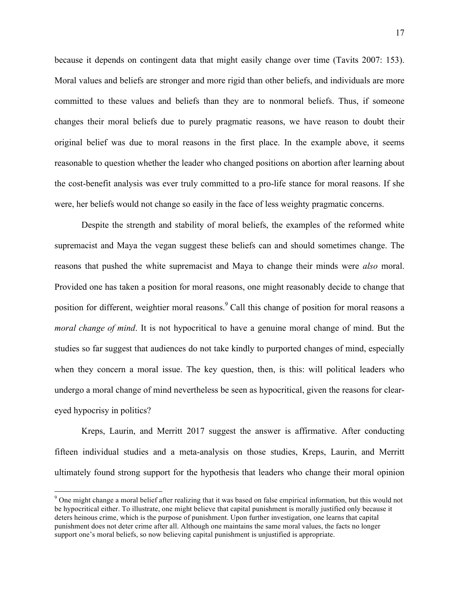because it depends on contingent data that might easily change over time (Tavits 2007: 153). Moral values and beliefs are stronger and more rigid than other beliefs, and individuals are more committed to these values and beliefs than they are to nonmoral beliefs. Thus, if someone changes their moral beliefs due to purely pragmatic reasons, we have reason to doubt their original belief was due to moral reasons in the first place. In the example above, it seems reasonable to question whether the leader who changed positions on abortion after learning about the cost-benefit analysis was ever truly committed to a pro-life stance for moral reasons. If she were, her beliefs would not change so easily in the face of less weighty pragmatic concerns.

Despite the strength and stability of moral beliefs, the examples of the reformed white supremacist and Maya the vegan suggest these beliefs can and should sometimes change. The reasons that pushed the white supremacist and Maya to change their minds were *also* moral. Provided one has taken a position for moral reasons, one might reasonably decide to change that position for different, weightier moral reasons.<sup>9</sup> Call this change of position for moral reasons a *moral change of mind*. It is not hypocritical to have a genuine moral change of mind. But the studies so far suggest that audiences do not take kindly to purported changes of mind, especially when they concern a moral issue. The key question, then, is this: will political leaders who undergo a moral change of mind nevertheless be seen as hypocritical, given the reasons for cleareyed hypocrisy in politics?

Kreps, Laurin, and Merritt 2017 suggest the answer is affirmative. After conducting fifteen individual studies and a meta-analysis on those studies, Kreps, Laurin, and Merritt ultimately found strong support for the hypothesis that leaders who change their moral opinion

<sup>&</sup>lt;sup>9</sup> One might change a moral belief after realizing that it was based on false empirical information, but this would not be hypocritical either. To illustrate, one might believe that capital punishment is morally justified only because it deters heinous crime, which is the purpose of punishment. Upon further investigation, one learns that capital punishment does not deter crime after all. Although one maintains the same moral values, the facts no longer support one's moral beliefs, so now believing capital punishment is unjustified is appropriate.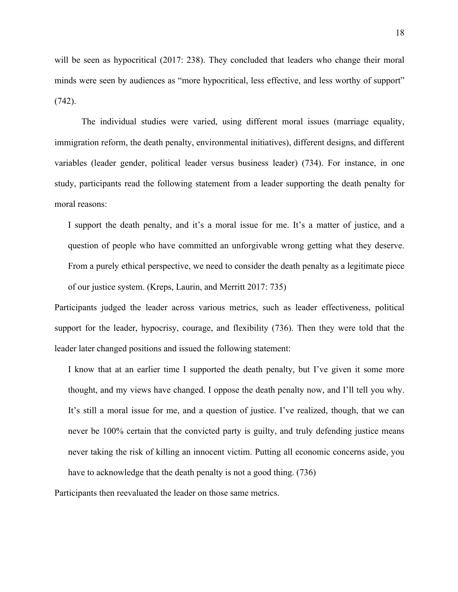will be seen as hypocritical (2017: 238). They concluded that leaders who change their moral minds were seen by audiences as "more hypocritical, less effective, and less worthy of support" (742).

The individual studies were varied, using different moral issues (marriage equality, immigration reform, the death penalty, environmental initiatives), different designs, and different variables (leader gender, political leader versus business leader) (734). For instance, in one study, participants read the following statement from a leader supporting the death penalty for moral reasons:

I support the death penalty, and it's a moral issue for me. It's a matter of justice, and a question of people who have committed an unforgivable wrong getting what they deserve. From a purely ethical perspective, we need to consider the death penalty as a legitimate piece of our justice system. (Kreps, Laurin, and Merritt 2017: 735)

Participants judged the leader across various metrics, such as leader effectiveness, political support for the leader, hypocrisy, courage, and flexibility (736). Then they were told that the leader later changed positions and issued the following statement:

I know that at an earlier time I supported the death penalty, but I've given it some more thought, and my views have changed. I oppose the death penalty now, and I'll tell you why. It's still a moral issue for me, and a question of justice. I've realized, though, that we can never be 100% certain that the convicted party is guilty, and truly defending justice means never taking the risk of killing an innocent victim. Putting all economic concerns aside, you have to acknowledge that the death penalty is not a good thing. (736)

Participants then reevaluated the leader on those same metrics.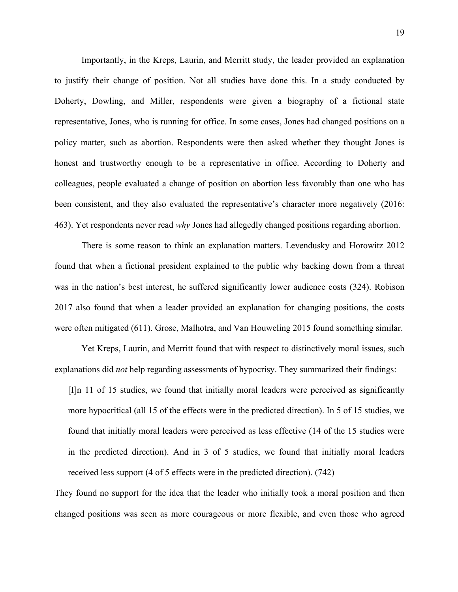Importantly, in the Kreps, Laurin, and Merritt study, the leader provided an explanation to justify their change of position. Not all studies have done this. In a study conducted by Doherty, Dowling, and Miller, respondents were given a biography of a fictional state representative, Jones, who is running for office. In some cases, Jones had changed positions on a policy matter, such as abortion. Respondents were then asked whether they thought Jones is honest and trustworthy enough to be a representative in office. According to Doherty and colleagues, people evaluated a change of position on abortion less favorably than one who has been consistent, and they also evaluated the representative's character more negatively (2016: 463). Yet respondents never read *why* Jones had allegedly changed positions regarding abortion.

There is some reason to think an explanation matters. Levendusky and Horowitz 2012 found that when a fictional president explained to the public why backing down from a threat was in the nation's best interest, he suffered significantly lower audience costs (324). Robison 2017 also found that when a leader provided an explanation for changing positions, the costs were often mitigated (611). Grose, Malhotra, and Van Houweling 2015 found something similar.

Yet Kreps, Laurin, and Merritt found that with respect to distinctively moral issues, such explanations did *not* help regarding assessments of hypocrisy. They summarized their findings:

[I]n 11 of 15 studies, we found that initially moral leaders were perceived as significantly more hypocritical (all 15 of the effects were in the predicted direction). In 5 of 15 studies, we found that initially moral leaders were perceived as less effective (14 of the 15 studies were in the predicted direction). And in 3 of 5 studies, we found that initially moral leaders received less support (4 of 5 effects were in the predicted direction). (742)

They found no support for the idea that the leader who initially took a moral position and then changed positions was seen as more courageous or more flexible, and even those who agreed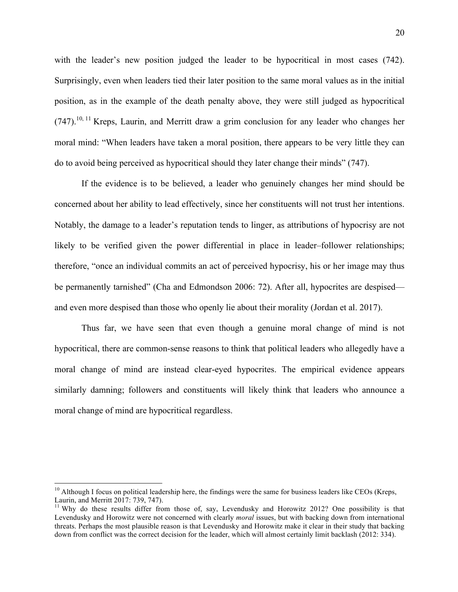with the leader's new position judged the leader to be hypocritical in most cases (742). Surprisingly, even when leaders tied their later position to the same moral values as in the initial position, as in the example of the death penalty above, they were still judged as hypocritical  $(747)$ , <sup>10, 11</sup> Kreps, Laurin, and Merritt draw a grim conclusion for any leader who changes her moral mind: "When leaders have taken a moral position, there appears to be very little they can do to avoid being perceived as hypocritical should they later change their minds" (747).

If the evidence is to be believed, a leader who genuinely changes her mind should be concerned about her ability to lead effectively, since her constituents will not trust her intentions. Notably, the damage to a leader's reputation tends to linger, as attributions of hypocrisy are not likely to be verified given the power differential in place in leader–follower relationships; therefore, "once an individual commits an act of perceived hypocrisy, his or her image may thus be permanently tarnished" (Cha and Edmondson 2006: 72). After all, hypocrites are despised and even more despised than those who openly lie about their morality (Jordan et al. 2017).

Thus far, we have seen that even though a genuine moral change of mind is not hypocritical, there are common-sense reasons to think that political leaders who allegedly have a moral change of mind are instead clear-eyed hypocrites. The empirical evidence appears similarly damning; followers and constituents will likely think that leaders who announce a moral change of mind are hypocritical regardless.

 $10$  Although I focus on political leadership here, the findings were the same for business leaders like CEOs (Kreps, Laurin, and Merritt 2017: 739, 747).<br><sup>11</sup> Why do these results differ from those of, say, Levendusky and Horowitz 2012? One possibility is that

Levendusky and Horowitz were not concerned with clearly *moral* issues, but with backing down from international threats. Perhaps the most plausible reason is that Levendusky and Horowitz make it clear in their study that backing down from conflict was the correct decision for the leader, which will almost certainly limit backlash (2012: 334).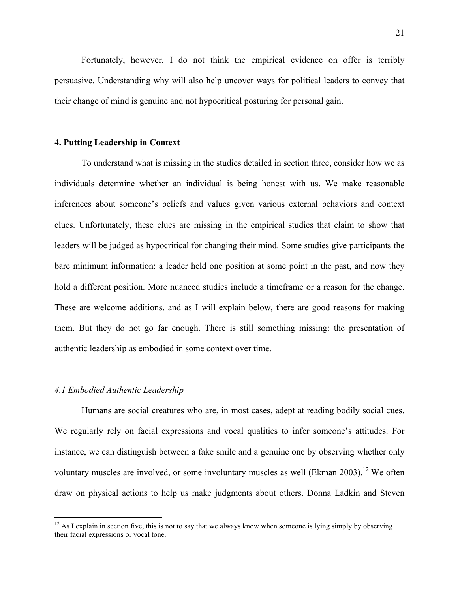Fortunately, however, I do not think the empirical evidence on offer is terribly persuasive. Understanding why will also help uncover ways for political leaders to convey that their change of mind is genuine and not hypocritical posturing for personal gain.

#### **4. Putting Leadership in Context**

To understand what is missing in the studies detailed in section three, consider how we as individuals determine whether an individual is being honest with us. We make reasonable inferences about someone's beliefs and values given various external behaviors and context clues. Unfortunately, these clues are missing in the empirical studies that claim to show that leaders will be judged as hypocritical for changing their mind. Some studies give participants the bare minimum information: a leader held one position at some point in the past, and now they hold a different position. More nuanced studies include a timeframe or a reason for the change. These are welcome additions, and as I will explain below, there are good reasons for making them. But they do not go far enough. There is still something missing: the presentation of authentic leadership as embodied in some context over time.

## *4.1 Embodied Authentic Leadership*

Humans are social creatures who are, in most cases, adept at reading bodily social cues. We regularly rely on facial expressions and vocal qualities to infer someone's attitudes. For instance, we can distinguish between a fake smile and a genuine one by observing whether only voluntary muscles are involved, or some involuntary muscles as well (Ekman 2003).<sup>12</sup> We often draw on physical actions to help us make judgments about others. Donna Ladkin and Steven

 $12$  As I explain in section five, this is not to say that we always know when someone is lying simply by observing their facial expressions or vocal tone.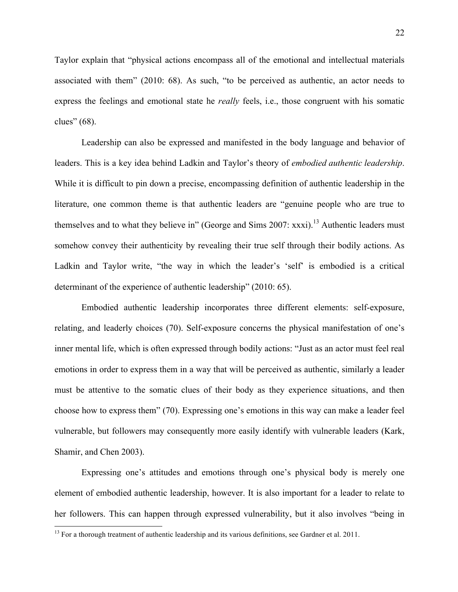Taylor explain that "physical actions encompass all of the emotional and intellectual materials associated with them" (2010: 68). As such, "to be perceived as authentic, an actor needs to express the feelings and emotional state he *really* feels, i.e., those congruent with his somatic clues" (68).

Leadership can also be expressed and manifested in the body language and behavior of leaders. This is a key idea behind Ladkin and Taylor's theory of *embodied authentic leadership*. While it is difficult to pin down a precise, encompassing definition of authentic leadership in the literature, one common theme is that authentic leaders are "genuine people who are true to themselves and to what they believe in" (George and Sims 2007:  $xxxi$ ).<sup>13</sup> Authentic leaders must somehow convey their authenticity by revealing their true self through their bodily actions. As Ladkin and Taylor write, "the way in which the leader's 'self' is embodied is a critical determinant of the experience of authentic leadership" (2010: 65).

Embodied authentic leadership incorporates three different elements: self-exposure, relating, and leaderly choices (70). Self-exposure concerns the physical manifestation of one's inner mental life, which is often expressed through bodily actions: "Just as an actor must feel real emotions in order to express them in a way that will be perceived as authentic, similarly a leader must be attentive to the somatic clues of their body as they experience situations, and then choose how to express them" (70). Expressing one's emotions in this way can make a leader feel vulnerable, but followers may consequently more easily identify with vulnerable leaders (Kark, Shamir, and Chen 2003).

Expressing one's attitudes and emotions through one's physical body is merely one element of embodied authentic leadership, however. It is also important for a leader to relate to her followers. This can happen through expressed vulnerability, but it also involves "being in

<sup>&</sup>lt;sup>13</sup> For a thorough treatment of authentic leadership and its various definitions, see Gardner et al. 2011.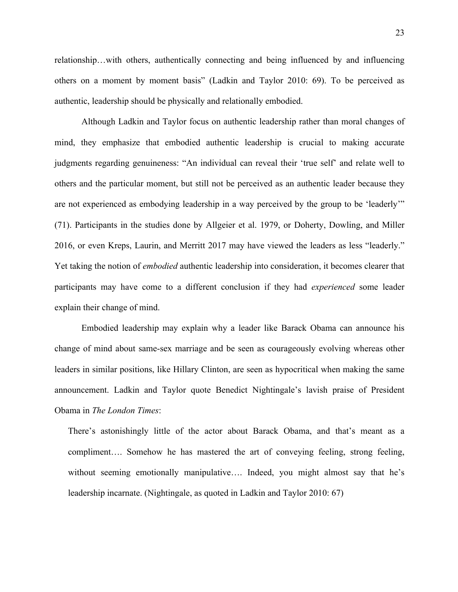relationship…with others, authentically connecting and being influenced by and influencing others on a moment by moment basis" (Ladkin and Taylor 2010: 69). To be perceived as authentic, leadership should be physically and relationally embodied.

Although Ladkin and Taylor focus on authentic leadership rather than moral changes of mind, they emphasize that embodied authentic leadership is crucial to making accurate judgments regarding genuineness: "An individual can reveal their 'true self' and relate well to others and the particular moment, but still not be perceived as an authentic leader because they are not experienced as embodying leadership in a way perceived by the group to be 'leaderly'" (71). Participants in the studies done by Allgeier et al. 1979, or Doherty, Dowling, and Miller 2016, or even Kreps, Laurin, and Merritt 2017 may have viewed the leaders as less "leaderly." Yet taking the notion of *embodied* authentic leadership into consideration, it becomes clearer that participants may have come to a different conclusion if they had *experienced* some leader explain their change of mind.

Embodied leadership may explain why a leader like Barack Obama can announce his change of mind about same-sex marriage and be seen as courageously evolving whereas other leaders in similar positions, like Hillary Clinton, are seen as hypocritical when making the same announcement. Ladkin and Taylor quote Benedict Nightingale's lavish praise of President Obama in *The London Times*:

There's astonishingly little of the actor about Barack Obama, and that's meant as a compliment…. Somehow he has mastered the art of conveying feeling, strong feeling, without seeming emotionally manipulative.... Indeed, you might almost say that he's leadership incarnate. (Nightingale, as quoted in Ladkin and Taylor 2010: 67)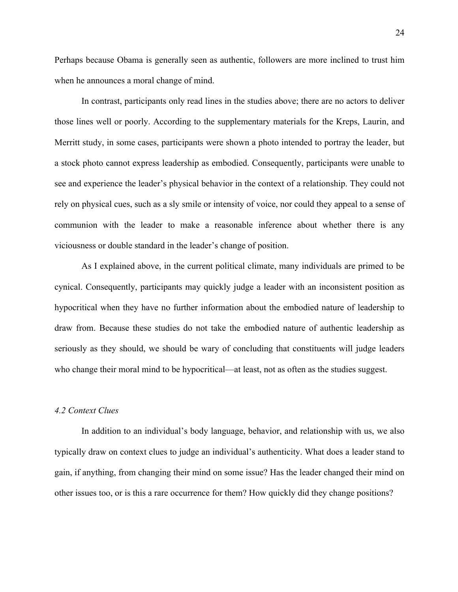Perhaps because Obama is generally seen as authentic, followers are more inclined to trust him when he announces a moral change of mind.

In contrast, participants only read lines in the studies above; there are no actors to deliver those lines well or poorly. According to the supplementary materials for the Kreps, Laurin, and Merritt study, in some cases, participants were shown a photo intended to portray the leader, but a stock photo cannot express leadership as embodied. Consequently, participants were unable to see and experience the leader's physical behavior in the context of a relationship. They could not rely on physical cues, such as a sly smile or intensity of voice, nor could they appeal to a sense of communion with the leader to make a reasonable inference about whether there is any viciousness or double standard in the leader's change of position.

As I explained above, in the current political climate, many individuals are primed to be cynical. Consequently, participants may quickly judge a leader with an inconsistent position as hypocritical when they have no further information about the embodied nature of leadership to draw from. Because these studies do not take the embodied nature of authentic leadership as seriously as they should, we should be wary of concluding that constituents will judge leaders who change their moral mind to be hypocritical—at least, not as often as the studies suggest.

## *4.2 Context Clues*

In addition to an individual's body language, behavior, and relationship with us, we also typically draw on context clues to judge an individual's authenticity. What does a leader stand to gain, if anything, from changing their mind on some issue? Has the leader changed their mind on other issues too, or is this a rare occurrence for them? How quickly did they change positions?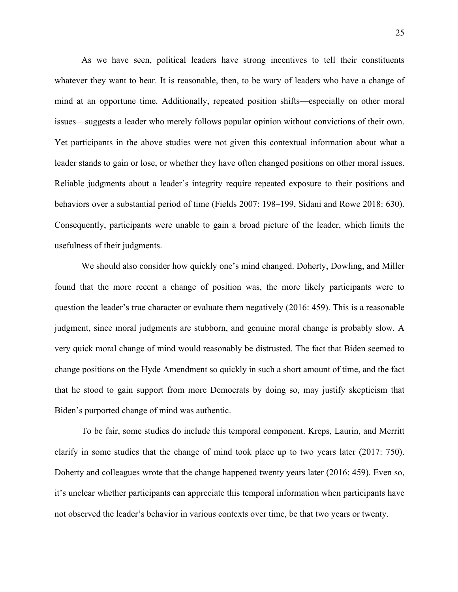As we have seen, political leaders have strong incentives to tell their constituents whatever they want to hear. It is reasonable, then, to be wary of leaders who have a change of mind at an opportune time. Additionally, repeated position shifts—especially on other moral issues—suggests a leader who merely follows popular opinion without convictions of their own. Yet participants in the above studies were not given this contextual information about what a leader stands to gain or lose, or whether they have often changed positions on other moral issues. Reliable judgments about a leader's integrity require repeated exposure to their positions and behaviors over a substantial period of time (Fields 2007: 198–199, Sidani and Rowe 2018: 630). Consequently, participants were unable to gain a broad picture of the leader, which limits the usefulness of their judgments.

We should also consider how quickly one's mind changed. Doherty, Dowling, and Miller found that the more recent a change of position was, the more likely participants were to question the leader's true character or evaluate them negatively (2016: 459). This is a reasonable judgment, since moral judgments are stubborn, and genuine moral change is probably slow. A very quick moral change of mind would reasonably be distrusted. The fact that Biden seemed to change positions on the Hyde Amendment so quickly in such a short amount of time, and the fact that he stood to gain support from more Democrats by doing so, may justify skepticism that Biden's purported change of mind was authentic.

To be fair, some studies do include this temporal component. Kreps, Laurin, and Merritt clarify in some studies that the change of mind took place up to two years later (2017: 750). Doherty and colleagues wrote that the change happened twenty years later (2016: 459). Even so, it's unclear whether participants can appreciate this temporal information when participants have not observed the leader's behavior in various contexts over time, be that two years or twenty.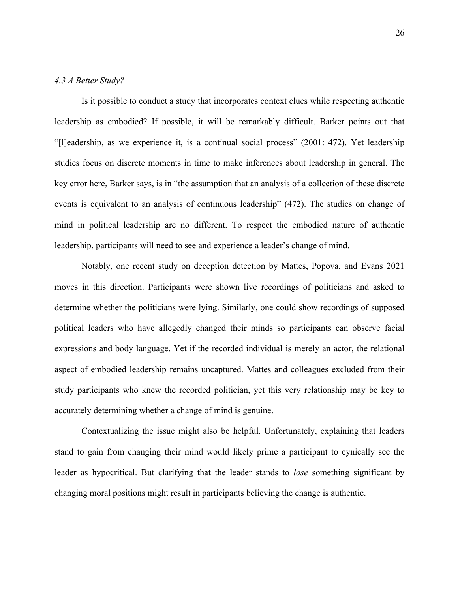## *4.3 A Better Study?*

Is it possible to conduct a study that incorporates context clues while respecting authentic leadership as embodied? If possible, it will be remarkably difficult. Barker points out that "[l]eadership, as we experience it, is a continual social process" (2001: 472). Yet leadership studies focus on discrete moments in time to make inferences about leadership in general. The key error here, Barker says, is in "the assumption that an analysis of a collection of these discrete events is equivalent to an analysis of continuous leadership" (472). The studies on change of mind in political leadership are no different. To respect the embodied nature of authentic leadership, participants will need to see and experience a leader's change of mind.

Notably, one recent study on deception detection by Mattes, Popova, and Evans 2021 moves in this direction. Participants were shown live recordings of politicians and asked to determine whether the politicians were lying. Similarly, one could show recordings of supposed political leaders who have allegedly changed their minds so participants can observe facial expressions and body language. Yet if the recorded individual is merely an actor, the relational aspect of embodied leadership remains uncaptured. Mattes and colleagues excluded from their study participants who knew the recorded politician, yet this very relationship may be key to accurately determining whether a change of mind is genuine.

Contextualizing the issue might also be helpful. Unfortunately, explaining that leaders stand to gain from changing their mind would likely prime a participant to cynically see the leader as hypocritical. But clarifying that the leader stands to *lose* something significant by changing moral positions might result in participants believing the change is authentic.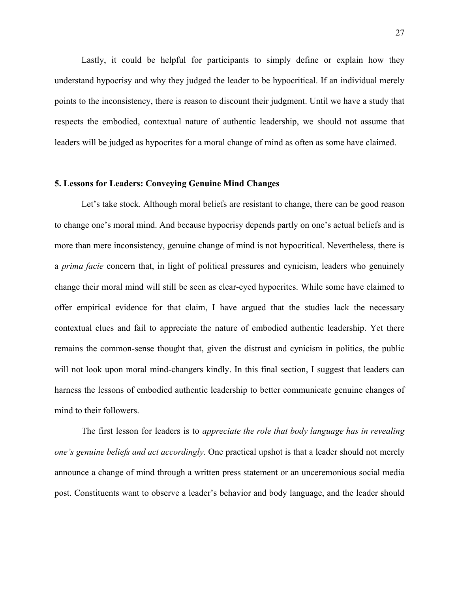Lastly, it could be helpful for participants to simply define or explain how they understand hypocrisy and why they judged the leader to be hypocritical. If an individual merely points to the inconsistency, there is reason to discount their judgment. Until we have a study that respects the embodied, contextual nature of authentic leadership, we should not assume that leaders will be judged as hypocrites for a moral change of mind as often as some have claimed.

#### **5. Lessons for Leaders: Conveying Genuine Mind Changes**

Let's take stock. Although moral beliefs are resistant to change, there can be good reason to change one's moral mind. And because hypocrisy depends partly on one's actual beliefs and is more than mere inconsistency, genuine change of mind is not hypocritical. Nevertheless, there is a *prima facie* concern that, in light of political pressures and cynicism, leaders who genuinely change their moral mind will still be seen as clear-eyed hypocrites. While some have claimed to offer empirical evidence for that claim, I have argued that the studies lack the necessary contextual clues and fail to appreciate the nature of embodied authentic leadership. Yet there remains the common-sense thought that, given the distrust and cynicism in politics, the public will not look upon moral mind-changers kindly. In this final section, I suggest that leaders can harness the lessons of embodied authentic leadership to better communicate genuine changes of mind to their followers.

The first lesson for leaders is to *appreciate the role that body language has in revealing one's genuine beliefs and act accordingly*. One practical upshot is that a leader should not merely announce a change of mind through a written press statement or an unceremonious social media post. Constituents want to observe a leader's behavior and body language, and the leader should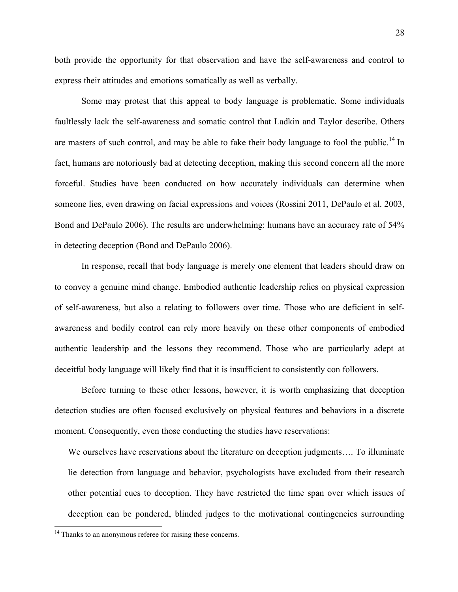both provide the opportunity for that observation and have the self-awareness and control to express their attitudes and emotions somatically as well as verbally.

Some may protest that this appeal to body language is problematic. Some individuals faultlessly lack the self-awareness and somatic control that Ladkin and Taylor describe. Others are masters of such control, and may be able to fake their body language to fool the public.<sup>14</sup> In fact, humans are notoriously bad at detecting deception, making this second concern all the more forceful. Studies have been conducted on how accurately individuals can determine when someone lies, even drawing on facial expressions and voices (Rossini 2011, DePaulo et al. 2003, Bond and DePaulo 2006). The results are underwhelming: humans have an accuracy rate of 54% in detecting deception (Bond and DePaulo 2006).

In response, recall that body language is merely one element that leaders should draw on to convey a genuine mind change. Embodied authentic leadership relies on physical expression of self-awareness, but also a relating to followers over time. Those who are deficient in selfawareness and bodily control can rely more heavily on these other components of embodied authentic leadership and the lessons they recommend. Those who are particularly adept at deceitful body language will likely find that it is insufficient to consistently con followers.

Before turning to these other lessons, however, it is worth emphasizing that deception detection studies are often focused exclusively on physical features and behaviors in a discrete moment. Consequently, even those conducting the studies have reservations:

We ourselves have reservations about the literature on deception judgments…. To illuminate lie detection from language and behavior, psychologists have excluded from their research other potential cues to deception. They have restricted the time span over which issues of deception can be pondered, blinded judges to the motivational contingencies surrounding

 $14$  Thanks to an anonymous referee for raising these concerns.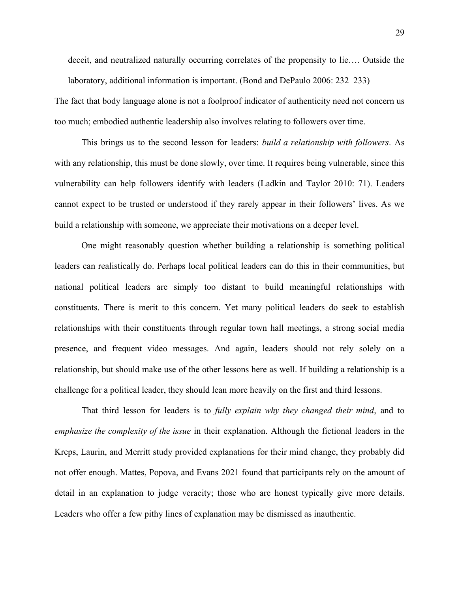deceit, and neutralized naturally occurring correlates of the propensity to lie…. Outside the laboratory, additional information is important. (Bond and DePaulo 2006: 232–233)

The fact that body language alone is not a foolproof indicator of authenticity need not concern us too much; embodied authentic leadership also involves relating to followers over time.

This brings us to the second lesson for leaders: *build a relationship with followers*. As with any relationship, this must be done slowly, over time. It requires being vulnerable, since this vulnerability can help followers identify with leaders (Ladkin and Taylor 2010: 71). Leaders cannot expect to be trusted or understood if they rarely appear in their followers' lives. As we build a relationship with someone, we appreciate their motivations on a deeper level.

One might reasonably question whether building a relationship is something political leaders can realistically do. Perhaps local political leaders can do this in their communities, but national political leaders are simply too distant to build meaningful relationships with constituents. There is merit to this concern. Yet many political leaders do seek to establish relationships with their constituents through regular town hall meetings, a strong social media presence, and frequent video messages. And again, leaders should not rely solely on a relationship, but should make use of the other lessons here as well. If building a relationship is a challenge for a political leader, they should lean more heavily on the first and third lessons.

That third lesson for leaders is to *fully explain why they changed their mind*, and to *emphasize the complexity of the issue* in their explanation. Although the fictional leaders in the Kreps, Laurin, and Merritt study provided explanations for their mind change, they probably did not offer enough. Mattes, Popova, and Evans 2021 found that participants rely on the amount of detail in an explanation to judge veracity; those who are honest typically give more details. Leaders who offer a few pithy lines of explanation may be dismissed as inauthentic.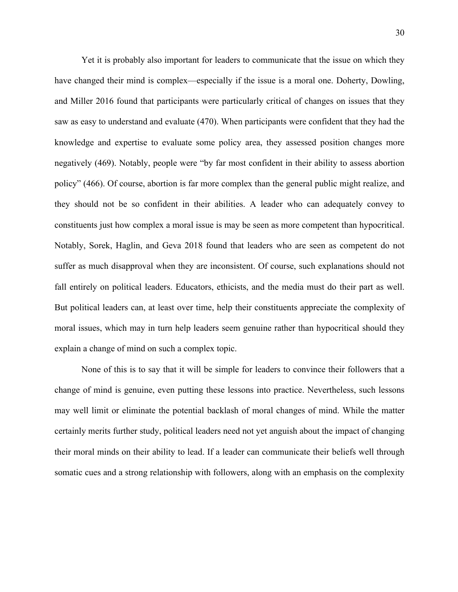Yet it is probably also important for leaders to communicate that the issue on which they have changed their mind is complex—especially if the issue is a moral one. Doherty, Dowling, and Miller 2016 found that participants were particularly critical of changes on issues that they saw as easy to understand and evaluate (470). When participants were confident that they had the knowledge and expertise to evaluate some policy area, they assessed position changes more negatively (469). Notably, people were "by far most confident in their ability to assess abortion policy" (466). Of course, abortion is far more complex than the general public might realize, and they should not be so confident in their abilities. A leader who can adequately convey to constituents just how complex a moral issue is may be seen as more competent than hypocritical. Notably, Sorek, Haglin, and Geva 2018 found that leaders who are seen as competent do not suffer as much disapproval when they are inconsistent. Of course, such explanations should not fall entirely on political leaders. Educators, ethicists, and the media must do their part as well. But political leaders can, at least over time, help their constituents appreciate the complexity of moral issues, which may in turn help leaders seem genuine rather than hypocritical should they explain a change of mind on such a complex topic.

None of this is to say that it will be simple for leaders to convince their followers that a change of mind is genuine, even putting these lessons into practice. Nevertheless, such lessons may well limit or eliminate the potential backlash of moral changes of mind. While the matter certainly merits further study, political leaders need not yet anguish about the impact of changing their moral minds on their ability to lead. If a leader can communicate their beliefs well through somatic cues and a strong relationship with followers, along with an emphasis on the complexity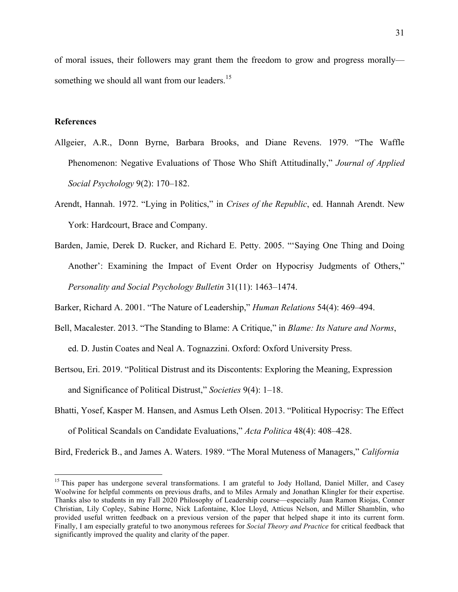of moral issues, their followers may grant them the freedom to grow and progress morally something we should all want from our leaders.<sup>15</sup>

### **References**

- Allgeier, A.R., Donn Byrne, Barbara Brooks, and Diane Revens. 1979. "The Waffle Phenomenon: Negative Evaluations of Those Who Shift Attitudinally," *Journal of Applied Social Psychology* 9(2): 170–182.
- Arendt, Hannah. 1972. "Lying in Politics," in *Crises of the Republic*, ed. Hannah Arendt. New York: Hardcourt, Brace and Company.
- Barden, Jamie, Derek D. Rucker, and Richard E. Petty. 2005. "'Saying One Thing and Doing Another': Examining the Impact of Event Order on Hypocrisy Judgments of Others," *Personality and Social Psychology Bulletin* 31(11): 1463–1474.

Barker, Richard A. 2001. "The Nature of Leadership," *Human Relations* 54(4): 469–494.

- Bell, Macalester. 2013. "The Standing to Blame: A Critique," in *Blame: Its Nature and Norms*, ed. D. Justin Coates and Neal A. Tognazzini. Oxford: Oxford University Press.
- Bertsou, Eri. 2019. "Political Distrust and its Discontents: Exploring the Meaning, Expression and Significance of Political Distrust," *Societies* 9(4): 1–18.
- Bhatti, Yosef, Kasper M. Hansen, and Asmus Leth Olsen. 2013. "Political Hypocrisy: The Effect of Political Scandals on Candidate Evaluations," *Acta Politica* 48(4): 408–428.

Bird, Frederick B., and James A. Waters. 1989. "The Moral Muteness of Managers," *California* 

<sup>&</sup>lt;sup>15</sup> This paper has undergone several transformations. I am grateful to Jody Holland, Daniel Miller, and Casey Woolwine for helpful comments on previous drafts, and to Miles Armaly and Jonathan Klingler for their expertise. Thanks also to students in my Fall 2020 Philosophy of Leadership course—especially Juan Ramon Riojas, Conner Christian, Lily Copley, Sabine Horne, Nick Lafontaine, Kloe Lloyd, Atticus Nelson, and Miller Shamblin, who provided useful written feedback on a previous version of the paper that helped shape it into its current form. Finally, I am especially grateful to two anonymous referees for *Social Theory and Practice* for critical feedback that significantly improved the quality and clarity of the paper.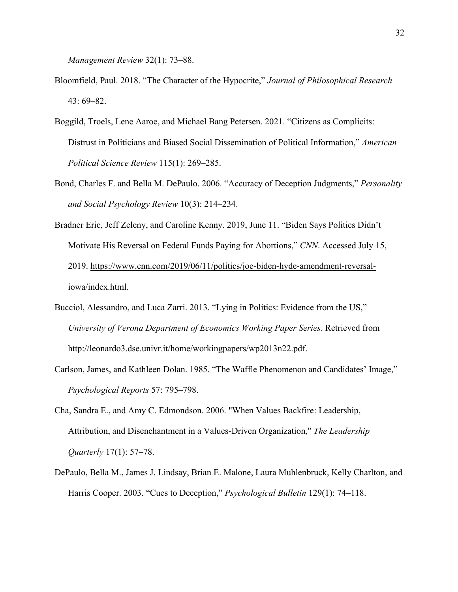*Management Review* 32(1): 73–88.

- Bloomfield, Paul. 2018. "The Character of the Hypocrite," *Journal of Philosophical Research*  43: 69–82.
- Boggild, Troels, Lene Aaroe, and Michael Bang Petersen. 2021. "Citizens as Complicits: Distrust in Politicians and Biased Social Dissemination of Political Information," *American Political Science Review* 115(1): 269–285.
- Bond, Charles F. and Bella M. DePaulo. 2006. "Accuracy of Deception Judgments," *Personality and Social Psychology Review* 10(3): 214–234.
- Bradner Eric, Jeff Zeleny, and Caroline Kenny. 2019, June 11. "Biden Says Politics Didn't Motivate His Reversal on Federal Funds Paying for Abortions," *CNN*. Accessed July 15, 2019. https://www.cnn.com/2019/06/11/politics/joe-biden-hyde-amendment-reversaliowa/index.html.
- Bucciol, Alessandro, and Luca Zarri. 2013. "Lying in Politics: Evidence from the US," *University of Verona Department of Economics Working Paper Series*. Retrieved from http://leonardo3.dse.univr.it/home/workingpapers/wp2013n22.pdf.
- Carlson, James, and Kathleen Dolan. 1985. "The Waffle Phenomenon and Candidates' Image," *Psychological Reports* 57: 795–798.
- Cha, Sandra E., and Amy C. Edmondson. 2006. "When Values Backfire: Leadership, Attribution, and Disenchantment in a Values-Driven Organization," *The Leadership Quarterly* 17(1): 57–78.
- DePaulo, Bella M., James J. Lindsay, Brian E. Malone, Laura Muhlenbruck, Kelly Charlton, and Harris Cooper. 2003. "Cues to Deception," *Psychological Bulletin* 129(1): 74–118.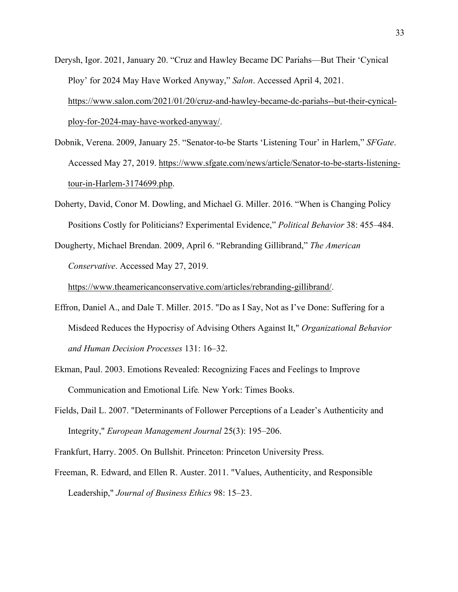- Derysh, Igor. 2021, January 20. "Cruz and Hawley Became DC Pariahs—But Their 'Cynical Ploy' for 2024 May Have Worked Anyway," *Salon*. Accessed April 4, 2021. https://www.salon.com/2021/01/20/cruz-and-hawley-became-dc-pariahs--but-their-cynicalploy-for-2024-may-have-worked-anyway/.
- Dobnik, Verena. 2009, January 25. "Senator-to-be Starts 'Listening Tour' in Harlem," *SFGate*. Accessed May 27, 2019. https://www.sfgate.com/news/article/Senator-to-be-starts-listeningtour-in-Harlem-3174699.php.
- Doherty, David, Conor M. Dowling, and Michael G. Miller. 2016. "When is Changing Policy Positions Costly for Politicians? Experimental Evidence," *Political Behavior* 38: 455–484.
- Dougherty, Michael Brendan. 2009, April 6. "Rebranding Gillibrand," *The American Conservative*. Accessed May 27, 2019.

https://www.theamericanconservative.com/articles/rebranding-gillibrand/.

- Effron, Daniel A., and Dale T. Miller. 2015. "Do as I Say, Not as I've Done: Suffering for a Misdeed Reduces the Hypocrisy of Advising Others Against It," *Organizational Behavior and Human Decision Processes* 131: 16–32.
- Ekman, Paul. 2003. Emotions Revealed: Recognizing Faces and Feelings to Improve Communication and Emotional Life*.* New York: Times Books.
- Fields, Dail L. 2007. "Determinants of Follower Perceptions of a Leader's Authenticity and Integrity," *European Management Journal* 25(3): 195–206.
- Frankfurt, Harry. 2005. On Bullshit. Princeton: Princeton University Press.
- Freeman, R. Edward, and Ellen R. Auster. 2011. "Values, Authenticity, and Responsible Leadership," *Journal of Business Ethics* 98: 15–23.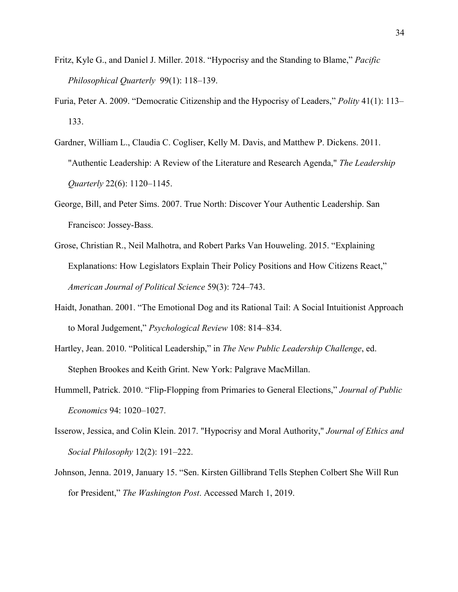- Fritz, Kyle G., and Daniel J. Miller. 2018. "Hypocrisy and the Standing to Blame," *Pacific Philosophical Quarterly* 99(1): 118–139.
- Furia, Peter A. 2009. "Democratic Citizenship and the Hypocrisy of Leaders," *Polity* 41(1): 113– 133.
- Gardner, William L., Claudia C. Cogliser, Kelly M. Davis, and Matthew P. Dickens. 2011. "Authentic Leadership: A Review of the Literature and Research Agenda," *The Leadership Quarterly* 22(6): 1120–1145.
- George, Bill, and Peter Sims. 2007. True North: Discover Your Authentic Leadership. San Francisco: Jossey-Bass.
- Grose, Christian R., Neil Malhotra, and Robert Parks Van Houweling. 2015. "Explaining Explanations: How Legislators Explain Their Policy Positions and How Citizens React," *American Journal of Political Science* 59(3): 724–743.
- Haidt, Jonathan. 2001. "The Emotional Dog and its Rational Tail: A Social Intuitionist Approach to Moral Judgement," *Psychological Review* 108: 814–834.
- Hartley, Jean. 2010. "Political Leadership," in *The New Public Leadership Challenge*, ed. Stephen Brookes and Keith Grint. New York: Palgrave MacMillan.
- Hummell, Patrick. 2010. "Flip-Flopping from Primaries to General Elections," *Journal of Public Economics* 94: 1020–1027.
- Isserow, Jessica, and Colin Klein. 2017. "Hypocrisy and Moral Authority," *Journal of Ethics and Social Philosophy* 12(2): 191–222.
- Johnson, Jenna. 2019, January 15. "Sen. Kirsten Gillibrand Tells Stephen Colbert She Will Run for President," *The Washington Post*. Accessed March 1, 2019.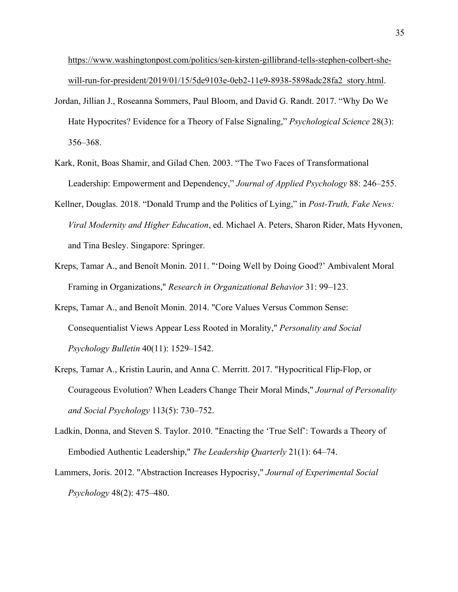https://www.washingtonpost.com/politics/sen-kirsten-gillibrand-tells-stephen-colbert-shewill-run-for-president/2019/01/15/5de9103e-0eb2-11e9-8938-5898adc28fa2\_story.html.

- Jordan, Jillian J., Roseanna Sommers, Paul Bloom, and David G. Randt. 2017. "Why Do We Hate Hypocrites? Evidence for a Theory of False Signaling," *Psychological Science* 28(3): 356–368.
- Kark, Ronit, Boas Shamir, and Gilad Chen. 2003. "The Two Faces of Transformational Leadership: Empowerment and Dependency," *Journal of Applied Psychology* 88: 246–255.
- Kellner, Douglas. 2018. "Donald Trump and the Politics of Lying," in *Post-Truth, Fake News: Viral Modernity and Higher Education*, ed. Michael A. Peters, Sharon Rider, Mats Hyvonen, and Tina Besley. Singapore: Springer.
- Kreps, Tamar A., and Benoît Monin. 2011. "'Doing Well by Doing Good?' Ambivalent Moral Framing in Organizations," *Research in Organizational Behavior* 31: 99–123.
- Kreps, Tamar A., and Benoît Monin. 2014. "Core Values Versus Common Sense: Consequentialist Views Appear Less Rooted in Morality," *Personality and Social Psychology Bulletin* 40(11): 1529–1542.
- Kreps, Tamar A., Kristin Laurin, and Anna C. Merritt. 2017. "Hypocritical Flip-Flop, or Courageous Evolution? When Leaders Change Their Moral Minds," *Journal of Personality and Social Psychology* 113(5): 730–752.
- Ladkin, Donna, and Steven S. Taylor. 2010. "Enacting the 'True Self': Towards a Theory of Embodied Authentic Leadership," *The Leadership Quarterly* 21(1): 64–74.
- Lammers, Joris. 2012. "Abstraction Increases Hypocrisy," *Journal of Experimental Social Psychology* 48(2): 475–480.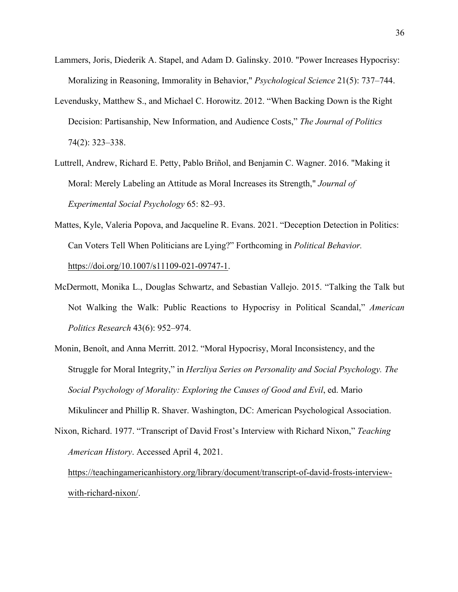- Lammers, Joris, Diederik A. Stapel, and Adam D. Galinsky. 2010. "Power Increases Hypocrisy: Moralizing in Reasoning, Immorality in Behavior," *Psychological Science* 21(5): 737–744.
- Levendusky, Matthew S., and Michael C. Horowitz. 2012. "When Backing Down is the Right Decision: Partisanship, New Information, and Audience Costs," *The Journal of Politics*  74(2): 323–338.
- Luttrell, Andrew, Richard E. Petty, Pablo Briñol, and Benjamin C. Wagner. 2016. "Making it Moral: Merely Labeling an Attitude as Moral Increases its Strength," *Journal of Experimental Social Psychology* 65: 82–93.
- Mattes, Kyle, Valeria Popova, and Jacqueline R. Evans. 2021. "Deception Detection in Politics: Can Voters Tell When Politicians are Lying?" Forthcoming in *Political Behavior.*  https://doi.org/10.1007/s11109-021-09747-1.
- McDermott, Monika L., Douglas Schwartz, and Sebastian Vallejo. 2015. "Talking the Talk but Not Walking the Walk: Public Reactions to Hypocrisy in Political Scandal," *American Politics Research* 43(6): 952–974.
- Monin, Benoît, and Anna Merritt. 2012. "Moral Hypocrisy, Moral Inconsistency, and the Struggle for Moral Integrity," in *Herzliya Series on Personality and Social Psychology. The Social Psychology of Morality: Exploring the Causes of Good and Evil*, ed. Mario Mikulincer and Phillip R. Shaver. Washington, DC: American Psychological Association.
- Nixon, Richard. 1977. "Transcript of David Frost's Interview with Richard Nixon," *Teaching American History*. Accessed April 4, 2021.

https://teachingamericanhistory.org/library/document/transcript-of-david-frosts-interviewwith-richard-nixon/.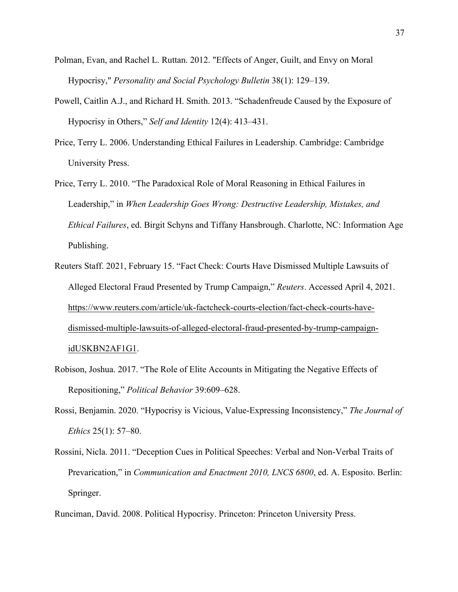- Polman, Evan, and Rachel L. Ruttan. 2012. "Effects of Anger, Guilt, and Envy on Moral Hypocrisy," *Personality and Social Psychology Bulletin* 38(1): 129–139.
- Powell, Caitlin A.J., and Richard H. Smith. 2013. "Schadenfreude Caused by the Exposure of Hypocrisy in Others," *Self and Identity* 12(4): 413–431.
- Price, Terry L. 2006. Understanding Ethical Failures in Leadership. Cambridge: Cambridge University Press.
- Price, Terry L. 2010. "The Paradoxical Role of Moral Reasoning in Ethical Failures in Leadership," in *When Leadership Goes Wrong: Destructive Leadership, Mistakes, and Ethical Failures*, ed. Birgit Schyns and Tiffany Hansbrough. Charlotte, NC: Information Age Publishing.
- Reuters Staff. 2021, February 15. "Fact Check: Courts Have Dismissed Multiple Lawsuits of Alleged Electoral Fraud Presented by Trump Campaign," *Reuters*. Accessed April 4, 2021. https://www.reuters.com/article/uk-factcheck-courts-election/fact-check-courts-havedismissed-multiple-lawsuits-of-alleged-electoral-fraud-presented-by-trump-campaignidUSKBN2AF1G1.
- Robison, Joshua. 2017. "The Role of Elite Accounts in Mitigating the Negative Effects of Repositioning," *Political Behavior* 39:609–628.
- Rossi, Benjamin. 2020. "Hypocrisy is Vicious, Value-Expressing Inconsistency," *The Journal of Ethics* 25(1): 57–80.
- Rossini, Nicla. 2011. "Deception Cues in Political Speeches: Verbal and Non-Verbal Traits of Prevarication," in *Communication and Enactment 2010, LNCS 6800*, ed. A. Esposito. Berlin: Springer.

Runciman, David. 2008. Political Hypocrisy. Princeton: Princeton University Press.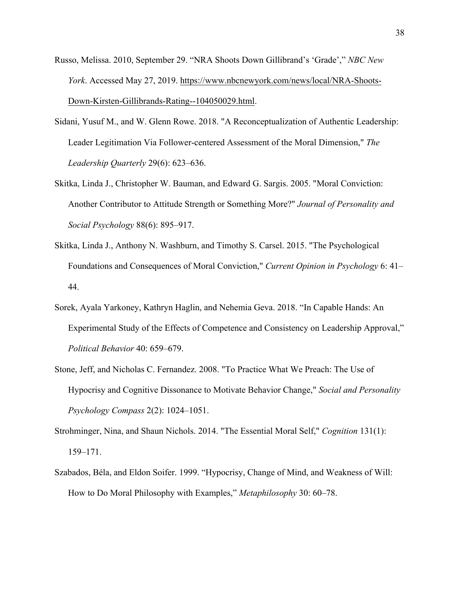- Russo, Melissa. 2010, September 29. "NRA Shoots Down Gillibrand's 'Grade'," *NBC New York*. Accessed May 27, 2019. https://www.nbcnewyork.com/news/local/NRA-Shoots-Down-Kirsten-Gillibrands-Rating--104050029.html.
- Sidani, Yusuf M., and W. Glenn Rowe. 2018. "A Reconceptualization of Authentic Leadership: Leader Legitimation Via Follower-centered Assessment of the Moral Dimension," *The Leadership Quarterly* 29(6): 623–636.
- Skitka, Linda J., Christopher W. Bauman, and Edward G. Sargis. 2005. "Moral Conviction: Another Contributor to Attitude Strength or Something More?" *Journal of Personality and Social Psychology* 88(6): 895–917.
- Skitka, Linda J., Anthony N. Washburn, and Timothy S. Carsel. 2015. "The Psychological Foundations and Consequences of Moral Conviction," *Current Opinion in Psychology* 6: 41– 44.
- Sorek, Ayala Yarkoney, Kathryn Haglin, and Nehemia Geva. 2018. "In Capable Hands: An Experimental Study of the Effects of Competence and Consistency on Leadership Approval," *Political Behavior* 40: 659–679.
- Stone, Jeff, and Nicholas C. Fernandez. 2008. "To Practice What We Preach: The Use of Hypocrisy and Cognitive Dissonance to Motivate Behavior Change," *Social and Personality Psychology Compass* 2(2): 1024–1051.
- Strohminger, Nina, and Shaun Nichols. 2014. "The Essential Moral Self," *Cognition* 131(1): 159–171.
- Szabados, Béla, and Eldon Soifer. 1999. "Hypocrisy, Change of Mind, and Weakness of Will: How to Do Moral Philosophy with Examples," *Metaphilosophy* 30: 60–78.